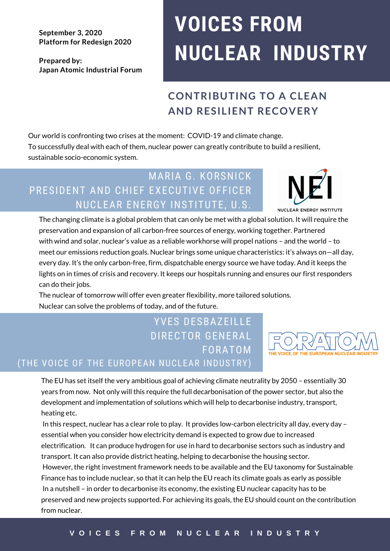**September 3, 2020 Platform for Redesign 2020**

**Prepared by: Japan Atomic Industrial Forum**

# **VOICES FROM NUCLEAR INDUSTRY**

# **CONTRIBUTING TO A CLEAN AND RESILIENT RECOVERY**

Our world is confronting two crises at the moment: COVID-19 and climate change. To successfully deal with each of them, nuclear power can greatly contribute to build a resilient, sustainable socio-economic system.

### MARIA G. KORSNICK PRESIDENT AND CHIEF EXECUTIVE OFFICER NUCLEAR ENERGY INSTITUTE, U.S.



The changing climate is a global problem that can only be met with a global solution. It will require the preservation and expansion of all carbon-free sources of energy, working together. Partnered with wind and solar, nuclear's value as a reliable workhorse will propel nations – and the world – to meet our emissions reduction goals. Nuclear brings some unique characteristics: it's always on—all day, every day. It's the only carbon-free, firm, dispatchable energy source we have today. And it keeps the lights on in times of crisis and recovery. It keeps our hospitals running and ensures our first responders can do their jobs.

The nuclear of tomorrow will offer even greater flexibility, more tailored solutions. Nuclear can solve the problems of today, and of the future.

# YVES DESBAZEILLE DIRECTOR GENERAL FORATOM

#### (THE VOICE OF THE EUROPEAN NUCLEAR INDUSTRY)

The EU has set itself the very ambitious goal of achieving climate neutrality by 2050 – essentially 30 years from now. Not only will this require the full decarbonisation of the power sector, but also the development and implementation of solutions which will help to decarbonise industry, transport, heating etc.

In this respect, nuclear has a clear role to play. It provides low-carbon electricity all day, every day – essential when you consider how electricity demand is expected to grow due to increased electrification. It can produce hydrogen for use in hard to decarbonise sectors such as industry and transport. It can also provide district heating, helping to decarbonise the housing sector.

However, the right investment framework needs to be available and the EU taxonomy for Sustainable Finance has to include nuclear, so that it can help the EU reach its climate goals as early as possible In a nutshell – in order to decarbonise its economy, the existing EU nuclear capacity has to be preserved and new projects supported. For achieving its goals, the EU should count on the contribution from nuclear.